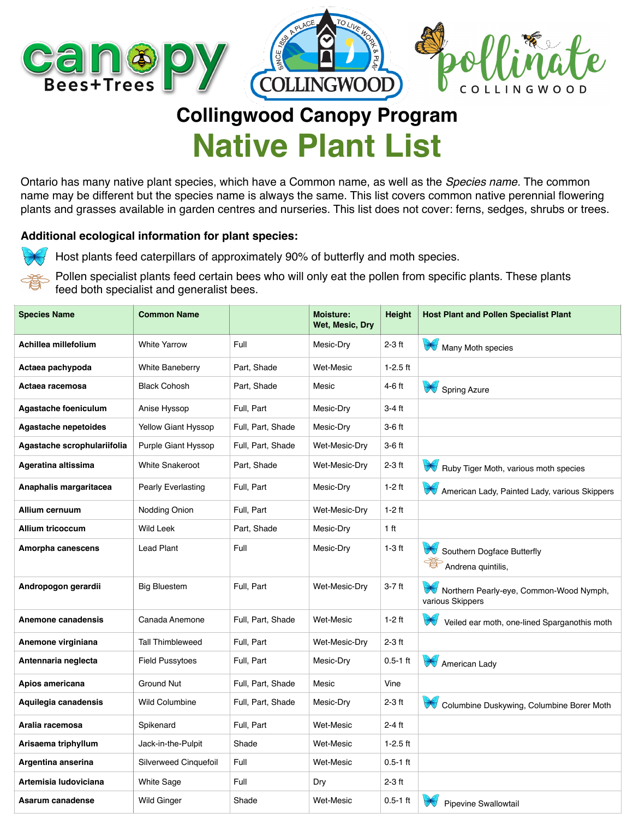

## **Collingwood Canopy Program Native Plant List**

Ontario has many native plant species, which have a Common name, as well as the *Species name.* The common name may be different but the species name is always the same. This list covers common native perennial flowering plants and grasses available in garden centres and nurseries. This list does not cover: ferns, sedges, shrubs or trees.

## **Additional ecological information for plant species:**



Host plants feed caterpillars of approximately 90% of butterfly and moth species.



 Pollen specialist plants feed certain bees who will only eat the pollen from specific plants. These plants feed both specialist and generalist bees.

| <b>Species Name</b>         | <b>Common Name</b>        |                   | <b>Moisture:</b><br>Wet, Mesic, Dry | Height          | <b>Host Plant and Pollen Specialist Plant</b>                             |
|-----------------------------|---------------------------|-------------------|-------------------------------------|-----------------|---------------------------------------------------------------------------|
| Achillea millefolium        | <b>White Yarrow</b>       | Full              | Mesic-Dry                           | $2-3$ ft        | $\forall$<br>Many Moth species                                            |
| Actaea pachypoda            | <b>White Baneberry</b>    | Part, Shade       | <b>Wet-Mesic</b>                    | $1-2.5$ ft      |                                                                           |
| Actaea racemosa             | <b>Black Cohosh</b>       | Part, Shade       | Mesic                               | 4-6 ft          | <b>DU</b><br><b>Spring Azure</b>                                          |
| Agastache foeniculum        | Anise Hyssop              | Full, Part        | Mesic-Dry                           | 3-4 ft          |                                                                           |
| <b>Agastache nepetoides</b> | Yellow Giant Hyssop       | Full, Part, Shade | Mesic-Dry                           | $3-6$ ft        |                                                                           |
| Agastache scrophulariifolia | Purple Giant Hyssop       | Full, Part, Shade | Wet-Mesic-Dry                       | 3-6 ft          |                                                                           |
| Ageratina altissima         | <b>White Snakeroot</b>    | Part, Shade       | Wet-Mesic-Dry                       | $2-3$ ft        | Ruby Tiger Moth, various moth species<br><b>ON</b>                        |
| Anaphalis margaritacea      | <b>Pearly Everlasting</b> | Full, Part        | Mesic-Dry                           | $1-2$ ft        | American Lady, Painted Lady, various Skippers                             |
| Allium cernuum              | Nodding Onion             | Full, Part        | Wet-Mesic-Dry                       | $1-2$ ft        |                                                                           |
| <b>Allium tricoccum</b>     | Wild Leek                 | Part. Shade       | Mesic-Dry                           | 1 <sub>ft</sub> |                                                                           |
| Amorpha canescens           | <b>Lead Plant</b>         | Full              | Mesic-Dry                           | $1-3$ ft        | $\blacktriangleright$<br>Southern Dogface Butterfly<br>Andrena quintilis, |
| Andropogon gerardii         | <b>Big Bluestem</b>       | Full, Part        | Wet-Mesic-Dry                       | $3-7$ ft        | Northern Pearly-eye, Common-Wood Nymph,<br>various Skippers               |
| Anemone canadensis          | Canada Anemone            | Full, Part, Shade | <b>Wet-Mesic</b>                    | $1-2$ ft        | Veiled ear moth, one-lined Sparganothis moth                              |
| Anemone virginiana          | <b>Tall Thimbleweed</b>   | Full, Part        | Wet-Mesic-Dry                       | $2-3$ ft        |                                                                           |
| Antennaria neglecta         | <b>Field Pussytoes</b>    | Full, Part        | Mesic-Dry                           | $0.5 - 1$ ft    | American Ladv                                                             |
| Apios americana             | <b>Ground Nut</b>         | Full, Part, Shade | Mesic                               | Vine            |                                                                           |
| Aquilegia canadensis        | Wild Columbine            | Full, Part, Shade | Mesic-Dry                           | $2-3$ ft        | <b>AU</b><br>Columbine Duskywing, Columbine Borer Moth                    |
| Aralia racemosa             | Spikenard                 | Full, Part        | <b>Wet-Mesic</b>                    | $2-4$ ft        |                                                                           |
| Arisaema triphyllum         | Jack-in-the-Pulpit        | Shade             | <b>Wet-Mesic</b>                    | $1-2.5$ ft      |                                                                           |
| Argentina anserina          | Silverweed Cinquefoil     | Full              | <b>Wet-Mesic</b>                    | $0.5 - 1$ ft    |                                                                           |
| Artemisia ludoviciana       | <b>White Sage</b>         | Full              | Dry                                 | $2-3$ ft        |                                                                           |
| Asarum canadense            | Wild Ginger               | Shade             | Wet-Mesic                           | $0.5 - 1$ ft    | Pipevine Swallowtail                                                      |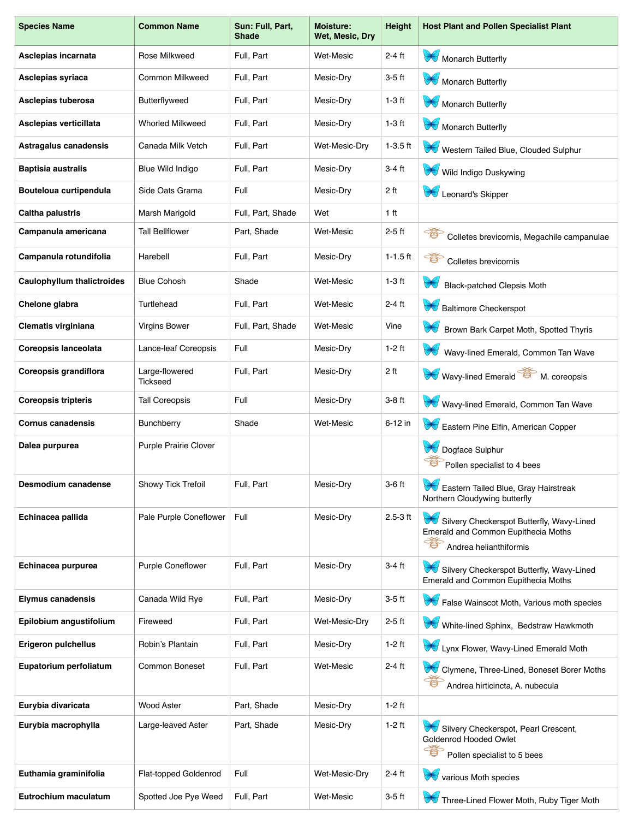| <b>Species Name</b>               | <b>Common Name</b>         | Sun: Full, Part,<br><b>Shade</b> | <b>Moisture:</b><br>Wet, Mesic, Dry | <b>Height</b> | <b>Host Plant and Pollen Specialist Plant</b>                                                                                |
|-----------------------------------|----------------------------|----------------------------------|-------------------------------------|---------------|------------------------------------------------------------------------------------------------------------------------------|
| Asclepias incarnata               | Rose Milkweed              | Full. Part                       | <b>Wet-Mesic</b>                    | $2-4$ ft      | <b>AND</b><br>Monarch Butterfly                                                                                              |
| Asclepias syriaca                 | Common Milkweed            | Full, Part                       | Mesic-Dry                           | 3-5 ft        | Monarch Butterfly                                                                                                            |
| Asclepias tuberosa                | Butterflyweed              | Full, Part                       | Mesic-Dry                           | $1-3$ ft      | Monarch Butterfly                                                                                                            |
| Asclepias verticillata            | <b>Whorled Milkweed</b>    | Full, Part                       | Mesic-Dry                           | $1-3$ ft      | Monarch Butterfly                                                                                                            |
| Astragalus canadensis             | Canada Milk Vetch          | Full, Part                       | Wet-Mesic-Drv                       | $1-3.5$ ft    | $\sqrt{2}$<br>Western Tailed Blue, Clouded Sulphur                                                                           |
| <b>Baptisia australis</b>         | Blue Wild Indigo           | Full, Part                       | Mesic-Dry                           | $3-4$ ft      | $\sigma$<br>Wild Indigo Duskywing                                                                                            |
| Bouteloua curtipendula            | Side Oats Grama            | Full                             | Mesic-Dry                           | 2 ft          | $\bigotimes$<br>Leonard's Skipper                                                                                            |
| Caltha palustris                  | Marsh Marigold             | Full, Part, Shade                | Wet                                 | 1 ft          |                                                                                                                              |
| Campanula americana               | <b>Tall Bellflower</b>     | Part, Shade                      | <b>Wet-Mesic</b>                    | $2-5$ ft      | Colletes brevicornis, Megachile campanulae                                                                                   |
| Campanula rotundifolia            | Harebell                   | Full, Part                       | Mesic-Drv                           | $1 - 1.5$ ft  | 食<br>Colletes brevicornis                                                                                                    |
| <b>Caulophyllum thalictroides</b> | <b>Blue Cohosh</b>         | Shade                            | <b>Wet-Mesic</b>                    | $1-3$ ft      | $\forall$<br><b>Black-patched Clepsis Moth</b>                                                                               |
| Chelone glabra                    | Turtlehead                 | Full, Part                       | <b>Wet-Mesic</b>                    | $2-4$ ft      | $\forall$<br><b>Baltimore Checkerspot</b>                                                                                    |
| Clematis virginiana               | <b>Virgins Bower</b>       | Full, Part, Shade                | <b>Wet-Mesic</b>                    | Vine          | V.J<br>Brown Bark Carpet Moth, Spotted Thyris                                                                                |
| Coreopsis lanceolata              | Lance-leaf Coreopsis       | Full                             | Mesic-Dry                           | $1-2$ ft      | $\forall$<br>Wavy-lined Emerald, Common Tan Wave                                                                             |
| Coreopsis grandiflora             | Large-flowered<br>Tickseed | Full, Part                       | Mesic-Dry                           | 2 ft          | Wavy-lined Emerald M. coreopsis                                                                                              |
| <b>Coreopsis tripteris</b>        | <b>Tall Coreopsis</b>      | Full                             | Mesic-Dry                           | 3-8 ft        | Wavy-lined Emerald, Common Tan Wave                                                                                          |
| Cornus canadensis                 | Bunchberry                 | Shade                            | <b>Wet-Mesic</b>                    | 6-12 in       | Eastern Pine Elfin, American Copper                                                                                          |
| Dalea purpurea                    | Purple Prairie Clover      |                                  |                                     |               | Dogface Sulphur<br>Pollen specialist to 4 bees                                                                               |
| Desmodium canadense               | Showy Tick Trefoil         | Full, Part                       | Mesic-Dry                           | 3-6 ft        | Eastern Tailed Blue, Gray Hairstreak<br>Northern Cloudywing butterfly                                                        |
| Echinacea pallida                 | Pale Purple Coneflower     | Full                             | Mesic-Dry                           | $2.5-3$ ft    | <b>AV</b><br>Silvery Checkerspot Butterfly, Wavy-Lined<br>Emerald and Common Eupithecia Moths<br>春<br>Andrea helianthiformis |
| Echinacea purpurea                | <b>Purple Coneflower</b>   | Full, Part                       | Mesic-Dry                           | $3-4$ ft      | $\sigma$<br>Silvery Checkerspot Butterfly, Wavy-Lined<br>Emerald and Common Eupithecia Moths                                 |
| <b>Elymus canadensis</b>          | Canada Wild Rye            | Full, Part                       | Mesic-Dry                           | $3-5$ ft      | False Wainscot Moth, Various moth species                                                                                    |
| Epilobium angustifolium           | Fireweed                   | Full, Part                       | Wet-Mesic-Dry                       | $2-5$ ft      | $\bigtriangledown$<br>White-lined Sphinx, Bedstraw Hawkmoth                                                                  |
| <b>Erigeron pulchellus</b>        | Robin's Plantain           | Full, Part                       | Mesic-Dry                           | $1-2$ ft      | $\bigtriangledown$<br>Lynx Flower, Wavy-Lined Emerald Moth                                                                   |
| Eupatorium perfoliatum            | Common Boneset             | Full, Part                       | <b>Wet-Mesic</b>                    | $2-4$ ft      | Clymene, Three-Lined, Boneset Borer Moths<br>Andrea hirticincta, A. nubecula                                                 |
| Eurybia divaricata                | Wood Aster                 | Part, Shade                      | Mesic-Dry                           | $1-2$ ft      |                                                                                                                              |
| Eurybia macrophylla               | Large-leaved Aster         | Part, Shade                      | Mesic-Dry                           | $1-2$ ft      | Silvery Checkerspot, Pearl Crescent,<br>Goldenrod Hooded Owlet<br>香<br>Pollen specialist to 5 bees                           |
| Euthamia graminifolia             | Flat-topped Goldenrod      | Full                             | Wet-Mesic-Dry                       | $2-4$ ft      | various Moth species                                                                                                         |
| Eutrochium maculatum              | Spotted Joe Pye Weed       | Full, Part                       | <b>Wet-Mesic</b>                    | $3-5$ ft      | Three-Lined Flower Moth, Ruby Tiger Moth                                                                                     |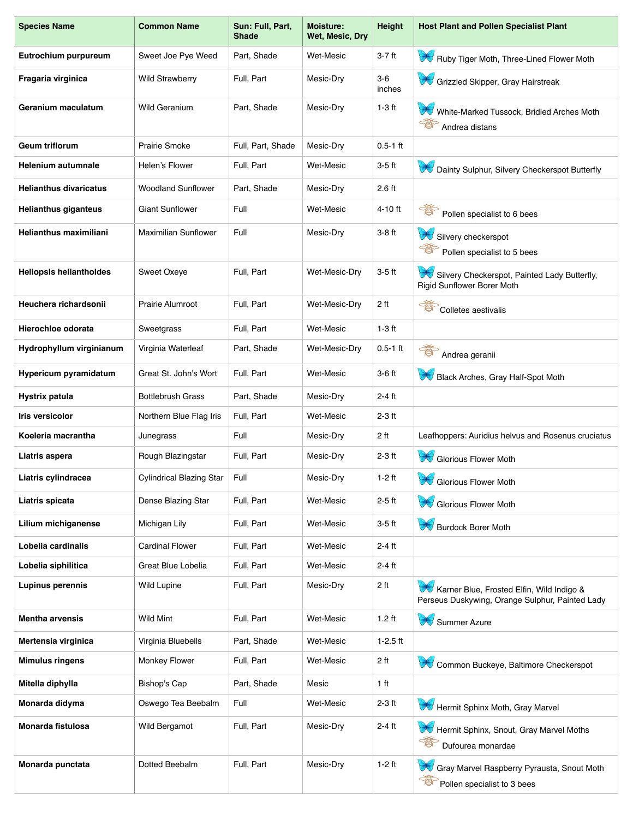| <b>Species Name</b>            | <b>Common Name</b>              | Sun: Full, Part,<br><b>Shade</b> | <b>Moisture:</b><br>Wet, Mesic, Dry | <b>Height</b>   | <b>Host Plant and Pollen Specialist Plant</b>                                                |
|--------------------------------|---------------------------------|----------------------------------|-------------------------------------|-----------------|----------------------------------------------------------------------------------------------|
| Eutrochium purpureum           | Sweet Joe Pye Weed              | Part, Shade                      | <b>Wet-Mesic</b>                    | 3-7 ft          | Ruby Tiger Moth, Three-Lined Flower Moth                                                     |
| Fragaria virginica             | <b>Wild Strawberry</b>          | Full, Part                       | Mesic-Dry                           | $3-6$<br>inches | Grizzled Skipper, Gray Hairstreak                                                            |
| Geranium maculatum             | <b>Wild Geranium</b>            | Part, Shade                      | Mesic-Dry                           | $1-3$ ft        | White-Marked Tussock, Bridled Arches Moth<br>春<br>Andrea distans                             |
| Geum triflorum                 | <b>Prairie Smoke</b>            | Full, Part, Shade                | Mesic-Dry                           | $0.5 - 1$ ft    |                                                                                              |
| Helenium autumnale             | Helen's Flower                  | Full, Part                       | <b>Wet-Mesic</b>                    | $3-5$ ft        | Dainty Sulphur, Silvery Checkerspot Butterfly                                                |
| <b>Helianthus divaricatus</b>  | <b>Woodland Sunflower</b>       | Part, Shade                      | Mesic-Dry                           | $2.6$ ft        |                                                                                              |
| <b>Helianthus giganteus</b>    | <b>Giant Sunflower</b>          | Full                             | <b>Wet-Mesic</b>                    | 4-10 ft         | 管<br>Pollen specialist to 6 bees                                                             |
| Helianthus maximiliani         | <b>Maximilian Sunflower</b>     | Full                             | Mesic-Dry                           | 3-8 ft          | Silvery checkerspot<br>Pollen specialist to 5 bees                                           |
| <b>Heliopsis helianthoides</b> | <b>Sweet Oxeye</b>              | Full, Part                       | Wet-Mesic-Drv                       | 3-5 ft          | Silvery Checkerspot, Painted Lady Butterfly,<br><b>Rigid Sunflower Borer Moth</b>            |
| Heuchera richardsonii          | Prairie Alumroot                | Full. Part                       | Wet-Mesic-Dry                       | 2 ft            | Colletes aestivalis                                                                          |
| Hierochloe odorata             | Sweetgrass                      | Full, Part                       | Wet-Mesic                           | $1-3$ ft        |                                                                                              |
| Hydrophyllum virginianum       | Virginia Waterleaf              | Part, Shade                      | Wet-Mesic-Dry                       | $0.5 - 1$ ft    | 薈<br>Andrea geranii                                                                          |
| Hypericum pyramidatum          | Great St. John's Wort           | Full, Part                       | <b>Wet-Mesic</b>                    | 3-6 ft          | Black Arches, Gray Half-Spot Moth                                                            |
| <b>Hystrix patula</b>          | <b>Bottlebrush Grass</b>        | Part, Shade                      | Mesic-Dry                           | 2-4 ft          |                                                                                              |
| Iris versicolor                | Northern Blue Flag Iris         | Full, Part                       | Wet-Mesic                           | $2-3$ ft        |                                                                                              |
| Koeleria macrantha             | Junegrass                       | Full                             | Mesic-Dry                           | 2 <sub>ft</sub> | Leafhoppers: Auridius helvus and Rosenus cruciatus                                           |
| Liatris aspera                 | Rough Blazingstar               | Full, Part                       | Mesic-Dry                           | 2-3 ft          | $\sqrt{3}$<br><b>Glorious Flower Moth</b>                                                    |
| Liatris cylindracea            | <b>Cylindrical Blazing Star</b> | Full                             | Mesic-Dry                           | 1-2 ft          | Glorious Flower Moth                                                                         |
| Liatris spicata                | Dense Blazing Star              | Full, Part                       | Wet-Mesic                           | $2-5$ ft        | Glorious Flower Moth                                                                         |
| Lilium michiganense            | Michigan Lily                   | Full, Part                       | Wet-Mesic                           | 3-5 ft          | V J<br><b>Burdock Borer Moth</b>                                                             |
| Lobelia cardinalis             | <b>Cardinal Flower</b>          | Full, Part                       | Wet-Mesic                           | 2-4 ft          |                                                                                              |
| Lobelia siphilitica            | Great Blue Lobelia              | Full, Part                       | <b>Wet-Mesic</b>                    | $2-4$ ft        |                                                                                              |
| Lupinus perennis               | <b>Wild Lupine</b>              | Full, Part                       | Mesic-Dry                           | 2 <sub>ft</sub> | Karner Blue, Frosted Elfin, Wild Indigo &<br>Perseus Duskywing, Orange Sulphur, Painted Lady |
| <b>Mentha arvensis</b>         | Wild Mint                       | Full, Part                       | Wet-Mesic                           | $1.2$ ft        | Summer Azure                                                                                 |
| Mertensia virginica            | Virginia Bluebells              | Part, Shade                      | <b>Wet-Mesic</b>                    | $1-2.5$ ft      |                                                                                              |
| <b>Mimulus ringens</b>         | Monkey Flower                   | Full, Part                       | Wet-Mesic                           | 2 ft            | Common Buckeye, Baltimore Checkerspot                                                        |
| Mitella diphylla               | <b>Bishop's Cap</b>             | Part, Shade                      | Mesic                               | 1 <sub>ft</sub> |                                                                                              |
| Monarda didyma                 | Oswego Tea Beebalm              | Full                             | Wet-Mesic                           | $2-3$ ft        | $\sqrt{2}$<br>Hermit Sphinx Moth, Gray Marvel                                                |
| Monarda fistulosa              | Wild Bergamot                   | Full, Part                       | Mesic-Dry                           | $2-4$ ft        | Hermit Sphinx, Snout, Gray Marvel Moths<br>Dufourea monardae                                 |
| Monarda punctata               | Dotted Beebalm                  | Full, Part                       | Mesic-Dry                           | $1-2$ ft        | Gray Marvel Raspberry Pyrausta, Snout Moth<br>Pollen specialist to 3 bees                    |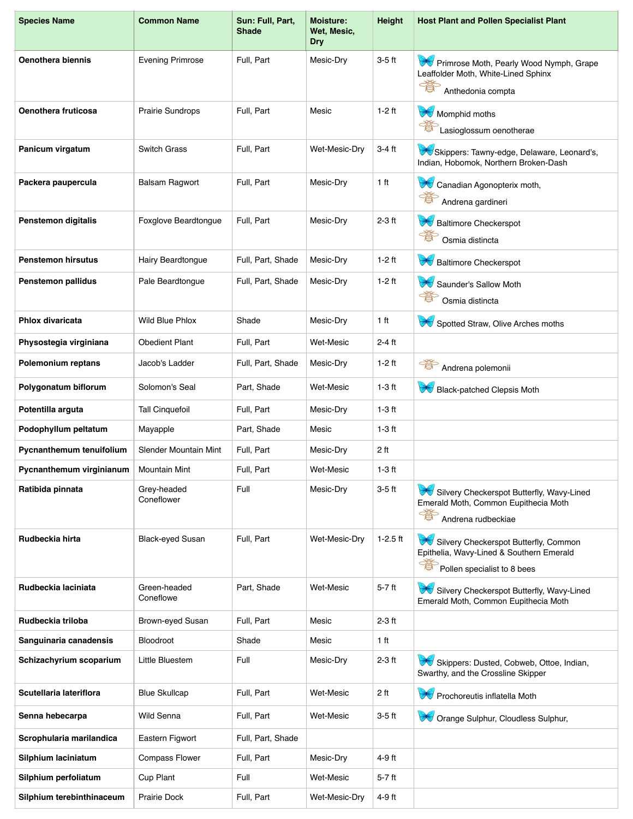| <b>Species Name</b>       | <b>Common Name</b>        | Sun: Full, Part,<br><b>Shade</b> | <b>Moisture:</b><br>Wet, Mesic,<br><b>Dry</b> | Height          | <b>Host Plant and Pollen Specialist Plant</b>                                                                         |
|---------------------------|---------------------------|----------------------------------|-----------------------------------------------|-----------------|-----------------------------------------------------------------------------------------------------------------------|
| Oenothera biennis         | <b>Evening Primrose</b>   | Full, Part                       | Mesic-Drv                                     | $3-5$ ft        | Primrose Moth, Pearly Wood Nymph, Grape<br>Leaffolder Moth, White-Lined Sphinx<br>春<br>Anthedonia compta              |
| Oenothera fruticosa       | <b>Prairie Sundrops</b>   | Full. Part                       | Mesic                                         | $1-2$ ft        | Momphid moths<br>Lasioglossum oenotherae                                                                              |
| Panicum virgatum          | <b>Switch Grass</b>       | Full. Part                       | Wet-Mesic-Dry                                 | $3-4$ ft        | Skippers: Tawny-edge, Delaware, Leonard's,<br>Indian, Hobomok, Northern Broken-Dash                                   |
| Packera paupercula        | <b>Balsam Ragwort</b>     | Full, Part                       | Mesic-Dry                                     | 1 <sub>ft</sub> | Canadian Agonopterix moth,<br><b>CAS</b><br>春<br>Andrena gardineri                                                    |
| Penstemon digitalis       | Foxglove Beardtonque      | Full. Part                       | Mesic-Dry                                     | $2-3$ ft        | $\sqrt{2}$<br><b>Baltimore Checkerspot</b><br>春<br>Osmia distincta                                                    |
| <b>Penstemon hirsutus</b> | Hairy Beardtongue         | Full, Part, Shade                | Mesic-Dry                                     | $1-2$ ft        | <b>CARD</b><br><b>Baltimore Checkerspot</b>                                                                           |
| Penstemon pallidus        | Pale Beardtongue          | Full, Part, Shade                | Mesic-Dry                                     | $1-2$ ft        | <b>DAT</b><br>Saunder's Sallow Moth<br>春<br>Osmia distincta                                                           |
| Phlox divaricata          | Wild Blue Phlox           | Shade                            | Mesic-Dry                                     | 1 ft            | Spotted Straw, Olive Arches moths                                                                                     |
| Physostegia virginiana    | <b>Obedient Plant</b>     | Full, Part                       | <b>Wet-Mesic</b>                              | 2-4 ft          |                                                                                                                       |
| Polemonium reptans        | Jacob's Ladder            | Full, Part, Shade                | Mesic-Dry                                     | $1-2$ ft        | 管<br>Andrena polemonii                                                                                                |
| Polygonatum biflorum      | Solomon's Seal            | Part, Shade                      | <b>Wet-Mesic</b>                              | $1-3$ ft        | <b>Black-patched Clepsis Moth</b><br>$\blacktriangledown$                                                             |
| Potentilla arguta         | <b>Tall Cinquefoil</b>    | Full, Part                       | Mesic-Dry                                     | $1-3$ ft        |                                                                                                                       |
| Podophyllum peltatum      | Mayapple                  | Part, Shade                      | Mesic                                         | $1-3$ ft        |                                                                                                                       |
| Pycnanthemum tenuifolium  | Slender Mountain Mint     | Full, Part                       | Mesic-Dry                                     | 2 ft            |                                                                                                                       |
| Pycnanthemum virginianum  | Mountain Mint             | Full, Part                       | Wet-Mesic                                     | $1-3$ ft        |                                                                                                                       |
| Ratibida pinnata          | Grey-headed<br>Coneflower | Full                             | Mesic-Dry                                     | $3-5$ ft        | Silvery Checkerspot Butterfly, Wavy-Lined<br>Emerald Moth, Common Eupithecia Moth<br>资<br>Andrena rudbeckiae          |
| Rudbeckia hirta           | Black-eyed Susan          | Full, Part                       | Wet-Mesic-Dry                                 | $1-2.5$ ft      | Silvery Checkerspot Butterfly, Common<br>Epithelia, Wavy-Lined & Southern Emerald<br>香<br>Pollen specialist to 8 bees |
| Rudbeckia laciniata       | Green-headed<br>Coneflowe | Part, Shade                      | Wet-Mesic                                     | $5-7$ ft        | Silvery Checkerspot Butterfly, Wavy-Lined<br>Emerald Moth, Common Eupithecia Moth                                     |
| Rudbeckia triloba         | Brown-eyed Susan          | Full, Part                       | Mesic                                         | $2-3$ ft        |                                                                                                                       |
| Sanguinaria canadensis    | Bloodroot                 | Shade                            | Mesic                                         | 1 ft            |                                                                                                                       |
| Schizachyrium scoparium   | Little Bluestem           | Full                             | Mesic-Dry                                     | $2-3$ ft        | Skippers: Dusted, Cobweb, Ottoe, Indian,<br><b>A</b><br>Swarthy, and the Crossline Skipper                            |
| Scutellaria lateriflora   | <b>Blue Skullcap</b>      | Full, Part                       | Wet-Mesic                                     | 2 <sub>ft</sub> | Prochoreutis inflatella Moth                                                                                          |
| Senna hebecarpa           | Wild Senna                | Full, Part                       | Wet-Mesic                                     | $3-5$ ft        | Orange Sulphur, Cloudless Sulphur,                                                                                    |
| Scrophularia marilandica  | Eastern Figwort           | Full, Part, Shade                |                                               |                 |                                                                                                                       |
| Silphium laciniatum       | <b>Compass Flower</b>     | Full, Part                       | Mesic-Dry                                     | 4-9 ft          |                                                                                                                       |
| Silphium perfoliatum      | Cup Plant                 | Full                             | Wet-Mesic                                     | 5-7 ft          |                                                                                                                       |
| Silphium terebinthinaceum | Prairie Dock              | Full, Part                       | Wet-Mesic-Dry                                 | 4-9 ft          |                                                                                                                       |